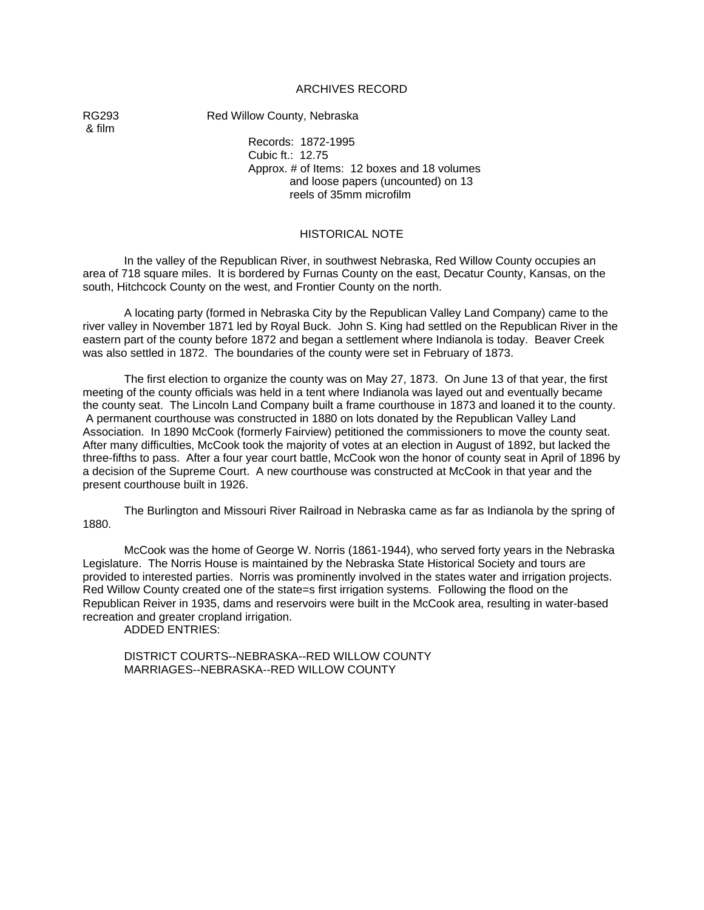#### ARCHIVES RECORD

& film

RG293 Red Willow County, Nebraska

Records: 1872-1995 Cubic ft.: 12.75 Approx. # of Items: 12 boxes and 18 volumes and loose papers (uncounted) on 13 reels of 35mm microfilm

#### HISTORICAL NOTE

In the valley of the Republican River, in southwest Nebraska, Red Willow County occupies an area of 718 square miles. It is bordered by Furnas County on the east, Decatur County, Kansas, on the south, Hitchcock County on the west, and Frontier County on the north.

A locating party (formed in Nebraska City by the Republican Valley Land Company) came to the river valley in November 1871 led by Royal Buck. John S. King had settled on the Republican River in the eastern part of the county before 1872 and began a settlement where Indianola is today. Beaver Creek was also settled in 1872. The boundaries of the county were set in February of 1873.

The first election to organize the county was on May 27, 1873. On June 13 of that year, the first meeting of the county officials was held in a tent where Indianola was layed out and eventually became the county seat. The Lincoln Land Company built a frame courthouse in 1873 and loaned it to the county. A permanent courthouse was constructed in 1880 on lots donated by the Republican Valley Land Association. In 1890 McCook (formerly Fairview) petitioned the commissioners to move the county seat. After many difficulties, McCook took the majority of votes at an election in August of 1892, but lacked the three-fifths to pass. After a four year court battle, McCook won the honor of county seat in April of 1896 by a decision of the Supreme Court. A new courthouse was constructed at McCook in that year and the present courthouse built in 1926.

The Burlington and Missouri River Railroad in Nebraska came as far as Indianola by the spring of 1880.

McCook was the home of George W. Norris (1861-1944), who served forty years in the Nebraska Legislature. The Norris House is maintained by the Nebraska State Historical Society and tours are provided to interested parties. Norris was prominently involved in the states water and irrigation projects. Red Willow County created one of the state=s first irrigation systems. Following the flood on the Republican Reiver in 1935, dams and reservoirs were built in the McCook area, resulting in water-based recreation and greater cropland irrigation.

ADDED ENTRIES:

DISTRICT COURTS--NEBRASKA--RED WILLOW COUNTY MARRIAGES--NEBRASKA--RED WILLOW COUNTY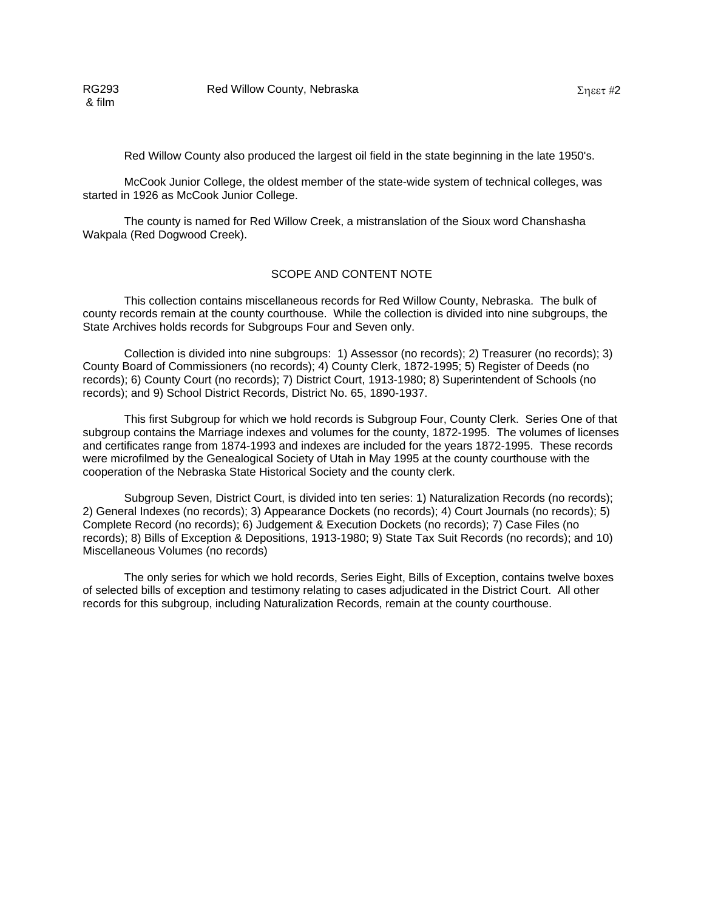& film

Red Willow County also produced the largest oil field in the state beginning in the late 1950's.

McCook Junior College, the oldest member of the state-wide system of technical colleges, was started in 1926 as McCook Junior College.

The county is named for Red Willow Creek, a mistranslation of the Sioux word Chanshasha Wakpala (Red Dogwood Creek).

#### SCOPE AND CONTENT NOTE

This collection contains miscellaneous records for Red Willow County, Nebraska. The bulk of county records remain at the county courthouse. While the collection is divided into nine subgroups, the State Archives holds records for Subgroups Four and Seven only.

Collection is divided into nine subgroups: 1) Assessor (no records); 2) Treasurer (no records); 3) County Board of Commissioners (no records); 4) County Clerk, 1872-1995; 5) Register of Deeds (no records); 6) County Court (no records); 7) District Court, 1913-1980; 8) Superintendent of Schools (no records); and 9) School District Records, District No. 65, 1890-1937.

This first Subgroup for which we hold records is Subgroup Four, County Clerk. Series One of that subgroup contains the Marriage indexes and volumes for the county, 1872-1995. The volumes of licenses and certificates range from 1874-1993 and indexes are included for the years 1872-1995. These records were microfilmed by the Genealogical Society of Utah in May 1995 at the county courthouse with the cooperation of the Nebraska State Historical Society and the county clerk.

Subgroup Seven, District Court, is divided into ten series: 1) Naturalization Records (no records); 2) General Indexes (no records); 3) Appearance Dockets (no records); 4) Court Journals (no records); 5) Complete Record (no records); 6) Judgement & Execution Dockets (no records); 7) Case Files (no records); 8) Bills of Exception & Depositions, 1913-1980; 9) State Tax Suit Records (no records); and 10) Miscellaneous Volumes (no records)

The only series for which we hold records, Series Eight, Bills of Exception, contains twelve boxes of selected bills of exception and testimony relating to cases adjudicated in the District Court. All other records for this subgroup, including Naturalization Records, remain at the county courthouse.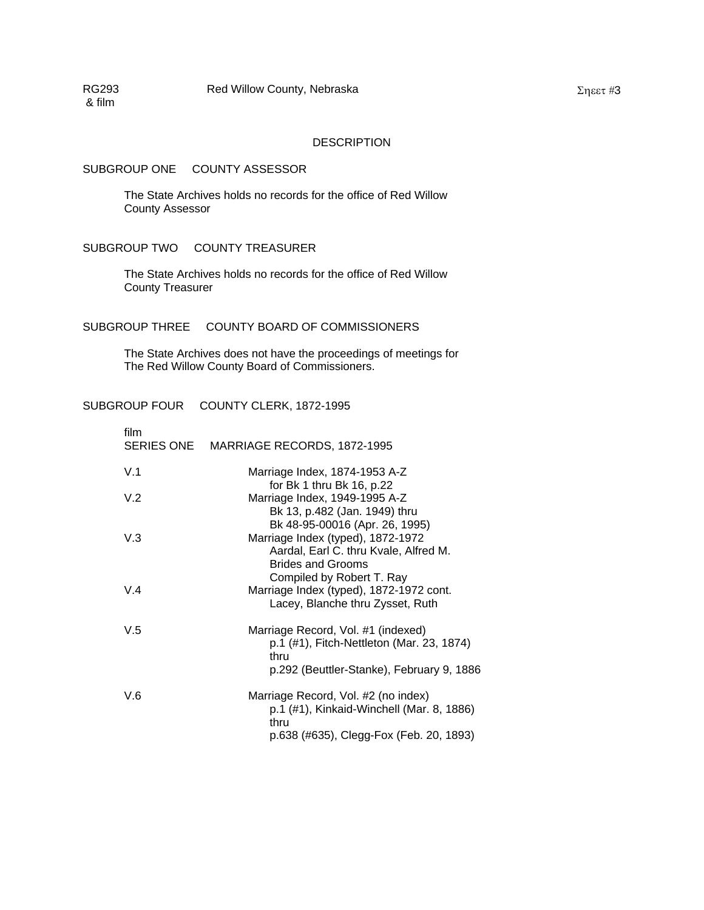#### **DESCRIPTION**

#### SUBGROUP ONE COUNTY ASSESSOR

The State Archives holds no records for the office of Red Willow County Assessor

### SUBGROUP TWO COUNTY TREASURER

The State Archives holds no records for the office of Red Willow County Treasurer

#### SUBGROUP THREE COUNTY BOARD OF COMMISSIONERS

The State Archives does not have the proceedings of meetings for The Red Willow County Board of Commissioners.

### SUBGROUP FOUR COUNTY CLERK, 1872-1995

| film | SERIES ONE MARRIAGE RECORDS, 1872-1995                                                                                                   |
|------|------------------------------------------------------------------------------------------------------------------------------------------|
| V.1  | Marriage Index, 1874-1953 A-Z<br>for Bk 1 thru Bk 16, p.22                                                                               |
| V.2  | Marriage Index, 1949-1995 A-Z<br>Bk 13, p.482 (Jan. 1949) thru                                                                           |
| V.3  | Bk 48-95-00016 (Apr. 26, 1995)<br>Marriage Index (typed), 1872-1972<br>Aardal, Earl C. thru Kvale, Alfred M.<br><b>Brides and Grooms</b> |
| V.4  | Compiled by Robert T. Ray<br>Marriage Index (typed), 1872-1972 cont.<br>Lacey, Blanche thru Zysset, Ruth                                 |
| V.5  | Marriage Record, Vol. #1 (indexed)<br>p.1 (#1), Fitch-Nettleton (Mar. 23, 1874)<br>thru<br>p.292 (Beuttler-Stanke), February 9, 1886     |
| V.6  | Marriage Record, Vol. #2 (no index)<br>p.1 (#1), Kinkaid-Winchell (Mar. 8, 1886)<br>thru<br>p.638 (#635), Clegg-Fox (Feb. 20, 1893)      |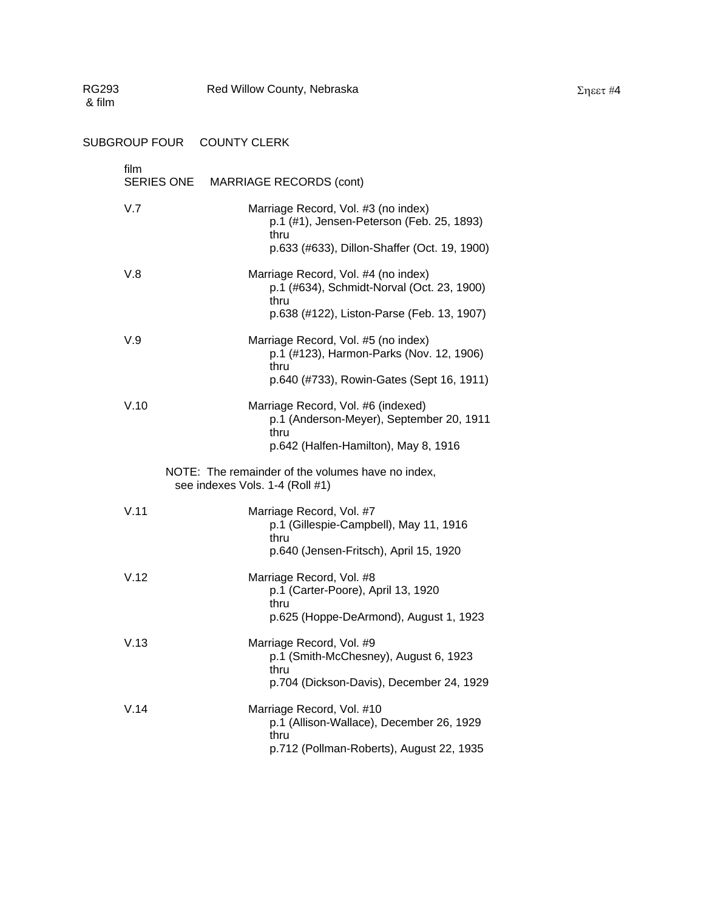| RG293<br>& film |                                 | Red Willow County, Nebraska                                                                                                              |
|-----------------|---------------------------------|------------------------------------------------------------------------------------------------------------------------------------------|
|                 | SUBGROUP FOUR COUNTY CLERK      |                                                                                                                                          |
| film            | <b>SERIES ONE</b>               | <b>MARRIAGE RECORDS (cont)</b>                                                                                                           |
| V.7             |                                 | Marriage Record, Vol. #3 (no index)<br>p.1 (#1), Jensen-Peterson (Feb. 25, 1893)<br>thru<br>p.633 (#633), Dillon-Shaffer (Oct. 19, 1900) |
| V.8             |                                 | Marriage Record, Vol. #4 (no index)<br>p.1 (#634), Schmidt-Norval (Oct. 23, 1900)<br>thru<br>p.638 (#122), Liston-Parse (Feb. 13, 1907)  |
| V.9             |                                 | Marriage Record, Vol. #5 (no index)<br>p.1 (#123), Harmon-Parks (Nov. 12, 1906)<br>thru<br>p.640 (#733), Rowin-Gates (Sept 16, 1911)     |
| V.10            |                                 | Marriage Record, Vol. #6 (indexed)<br>p.1 (Anderson-Meyer), September 20, 1911<br>thru<br>p.642 (Halfen-Hamilton), May 8, 1916           |
|                 | see indexes Vols. 1-4 (Roll #1) | NOTE: The remainder of the volumes have no index,                                                                                        |
| V.11            |                                 | Marriage Record, Vol. #7<br>p.1 (Gillespie-Campbell), May 11, 1916<br>thru<br>p.640 (Jensen-Fritsch), April 15, 1920                     |
| V.12            |                                 | Marriage Record, Vol. #8<br>p.1 (Carter-Poore), April 13, 1920<br>thru<br>p.625 (Hoppe-DeArmond), August 1, 1923                         |
| V.13            |                                 | Marriage Record, Vol. #9<br>p.1 (Smith-McChesney), August 6, 1923<br>thru<br>p.704 (Dickson-Davis), December 24, 1929                    |
| V.14            |                                 | Marriage Record, Vol. #10<br>p.1 (Allison-Wallace), December 26, 1929<br>thru<br>p.712 (Pollman-Roberts), August 22, 1935                |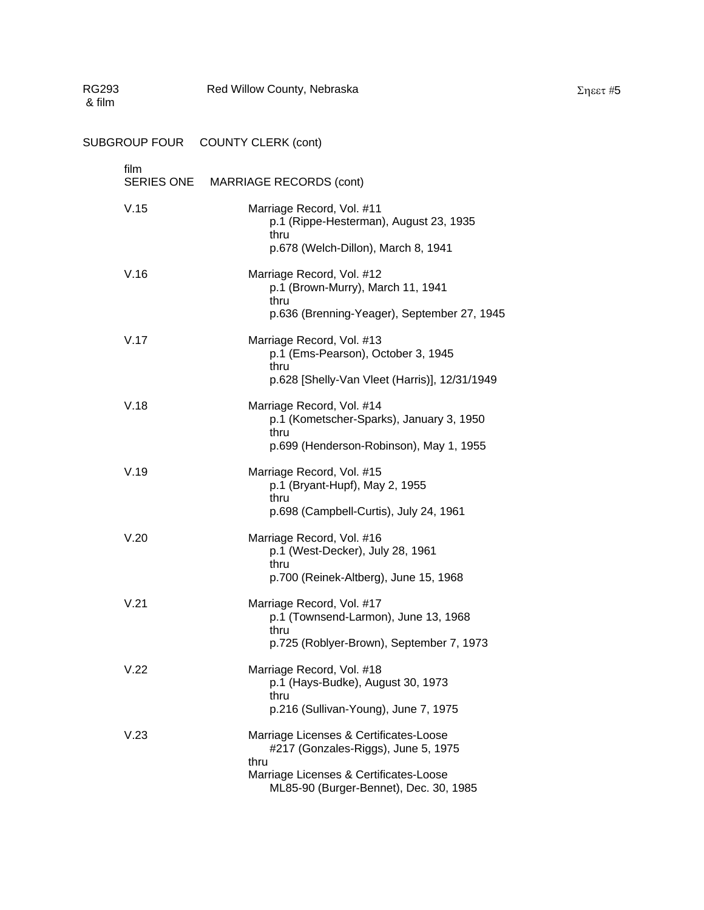| <b>RG293</b><br>& film |                           | Red Willow County, Nebraska<br>$\Sigma$ ηεετ #5                                                                                                                           |  |
|------------------------|---------------------------|---------------------------------------------------------------------------------------------------------------------------------------------------------------------------|--|
|                        |                           | SUBGROUP FOUR COUNTY CLERK (cont)                                                                                                                                         |  |
|                        | film<br><b>SERIES ONE</b> | <b>MARRIAGE RECORDS (cont)</b>                                                                                                                                            |  |
|                        | V.15                      | Marriage Record, Vol. #11<br>p.1 (Rippe-Hesterman), August 23, 1935<br>thru<br>p.678 (Welch-Dillon), March 8, 1941                                                        |  |
|                        | V.16                      | Marriage Record, Vol. #12<br>p.1 (Brown-Murry), March 11, 1941<br>thru<br>p.636 (Brenning-Yeager), September 27, 1945                                                     |  |
|                        | V.17                      | Marriage Record, Vol. #13<br>p.1 (Ems-Pearson), October 3, 1945<br>thru<br>p.628 [Shelly-Van Vleet (Harris)], 12/31/1949                                                  |  |
|                        | V.18                      | Marriage Record, Vol. #14<br>p.1 (Kometscher-Sparks), January 3, 1950<br>thru<br>p.699 (Henderson-Robinson), May 1, 1955                                                  |  |
|                        | V.19                      | Marriage Record, Vol. #15<br>p.1 (Bryant-Hupf), May 2, 1955<br>thru<br>p.698 (Campbell-Curtis), July 24, 1961                                                             |  |
|                        | V.20                      | Marriage Record, Vol. #16<br>p.1 (West-Decker), July 28, 1961<br>thru<br>p.700 (Reinek-Altberg), June 15, 1968                                                            |  |
|                        | V.21                      | Marriage Record, Vol. #17<br>p.1 (Townsend-Larmon), June 13, 1968<br>thru<br>p.725 (Roblyer-Brown), September 7, 1973                                                     |  |
|                        | V.22                      | Marriage Record, Vol. #18<br>p.1 (Hays-Budke), August 30, 1973<br>thru<br>p.216 (Sullivan-Young), June 7, 1975                                                            |  |
|                        | V.23                      | Marriage Licenses & Certificates-Loose<br>#217 (Gonzales-Riggs), June 5, 1975<br>thru<br>Marriage Licenses & Certificates-Loose<br>ML85-90 (Burger-Bennet), Dec. 30, 1985 |  |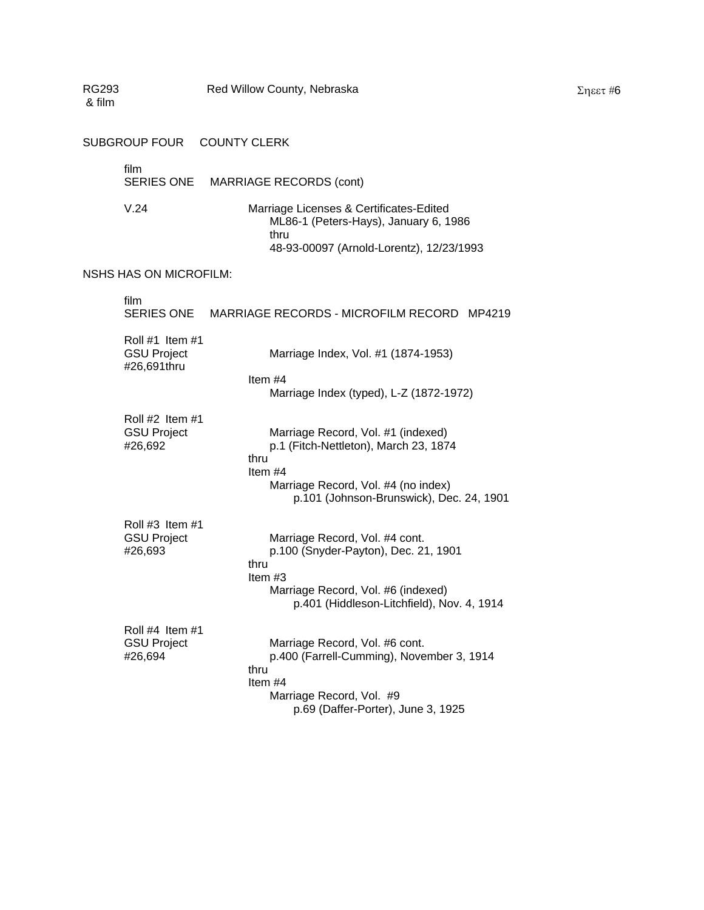| RG293<br>& film |                                                      | Red Willow County, Nebraska |                                                                                                                                                                | $\Sigma$ ηεετ#6 |
|-----------------|------------------------------------------------------|-----------------------------|----------------------------------------------------------------------------------------------------------------------------------------------------------------|-----------------|
|                 | <b>SUBGROUP FOUR</b>                                 | <b>COUNTY CLERK</b>         |                                                                                                                                                                |                 |
|                 | film<br><b>SERIES ONE</b>                            |                             | <b>MARRIAGE RECORDS (cont)</b>                                                                                                                                 |                 |
|                 | V.24                                                 |                             | Marriage Licenses & Certificates-Edited<br>ML86-1 (Peters-Hays), January 6, 1986<br>thru<br>48-93-00097 (Arnold-Lorentz), 12/23/1993                           |                 |
|                 | <b>NSHS HAS ON MICROFILM:</b>                        |                             |                                                                                                                                                                |                 |
|                 | film<br><b>SERIES ONE</b>                            |                             | MARRIAGE RECORDS - MICROFILM RECORD MP4219                                                                                                                     |                 |
|                 | Roll #1 Item #1<br><b>GSU Project</b><br>#26,691thru | Item #4                     | Marriage Index, Vol. #1 (1874-1953)<br>Marriage Index (typed), L-Z (1872-1972)                                                                                 |                 |
|                 | Roll #2 Item #1<br><b>GSU Project</b><br>#26,692     | thru<br>Item #4             | Marriage Record, Vol. #1 (indexed)<br>p.1 (Fitch-Nettleton), March 23, 1874<br>Marriage Record, Vol. #4 (no index)<br>p.101 (Johnson-Brunswick), Dec. 24, 1901 |                 |
|                 | Roll #3 Item #1<br><b>GSU Project</b><br>#26,693     | thru<br>Item #3             | Marriage Record, Vol. #4 cont.<br>p.100 (Snyder-Payton), Dec. 21, 1901<br>Marriage Record, Vol. #6 (indexed)<br>p.401 (Hiddleson-Litchfield), Nov. 4, 1914     |                 |
|                 | Roll #4 Item #1<br><b>GSU Project</b><br>#26,694     | thru<br>Item #4             | Marriage Record, Vol. #6 cont.<br>p.400 (Farrell-Cumming), November 3, 1914<br>Marriage Record, Vol. #9<br>p.69 (Daffer-Porter), June 3, 1925                  |                 |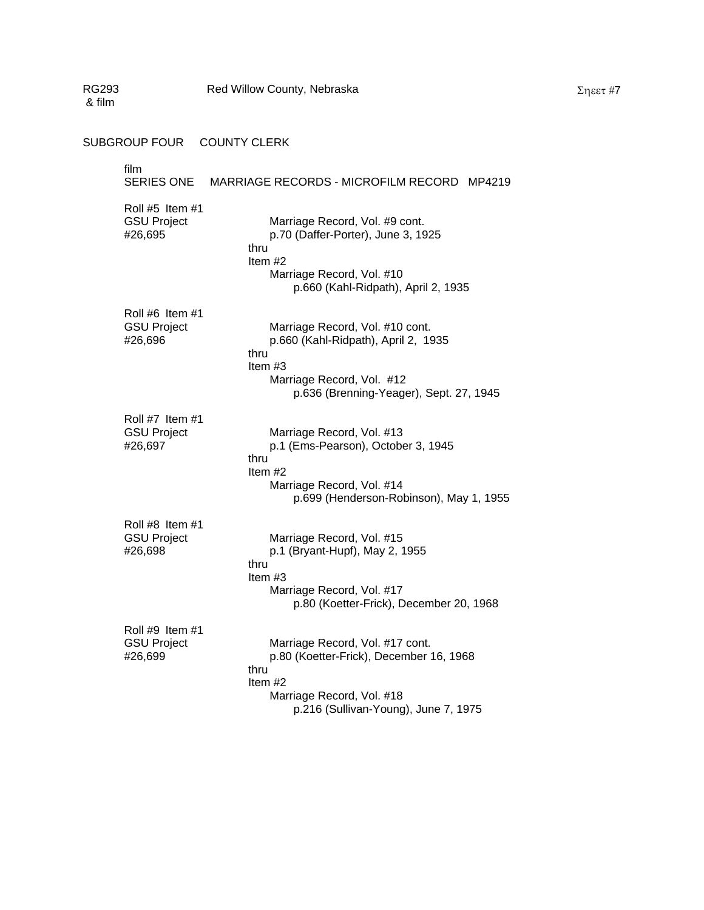| RG293<br>& film | Red Willow County, Nebraska                                                                                                                                                                                            | $\Sigma$ ηεετ #7 |
|-----------------|------------------------------------------------------------------------------------------------------------------------------------------------------------------------------------------------------------------------|------------------|
|                 | SUBGROUP FOUR COUNTY CLERK                                                                                                                                                                                             |                  |
| film            | <b>SERIES ONE</b><br>MARRIAGE RECORDS - MICROFILM RECORD MP4219                                                                                                                                                        |                  |
|                 | Roll #5 Item #1<br><b>GSU Project</b><br>Marriage Record, Vol. #9 cont.<br>#26,695<br>p.70 (Daffer-Porter), June 3, 1925<br>thru<br>Item $#2$<br>Marriage Record, Vol. #10<br>p.660 (Kahl-Ridpath), April 2, 1935      |                  |
|                 | Roll #6 Item #1<br><b>GSU Project</b><br>Marriage Record, Vol. #10 cont.<br>#26,696<br>p.660 (Kahl-Ridpath), April 2, 1935<br>thru<br>Item #3<br>Marriage Record, Vol. #12<br>p.636 (Brenning-Yeager), Sept. 27, 1945  |                  |
|                 | Roll #7 Item #1<br><b>GSU Project</b><br>Marriage Record, Vol. #13<br>p.1 (Ems-Pearson), October 3, 1945<br>#26,697<br>thru<br>Item #2<br>Marriage Record, Vol. #14<br>p.699 (Henderson-Robinson), May 1, 1955         |                  |
|                 | Roll #8 Item #1<br><b>GSU Project</b><br>Marriage Record, Vol. #15<br>#26,698<br>p.1 (Bryant-Hupf), May 2, 1955<br>thru<br>Item #3<br>Marriage Record, Vol. #17<br>p.80 (Koetter-Frick), December 20, 1968             |                  |
|                 | Roll #9 Item #1<br>Marriage Record, Vol. #17 cont.<br><b>GSU Project</b><br>p.80 (Koetter-Frick), December 16, 1968<br>#26,699<br>thru<br>Item #2<br>Marriage Record, Vol. #18<br>p.216 (Sullivan-Young), June 7, 1975 |                  |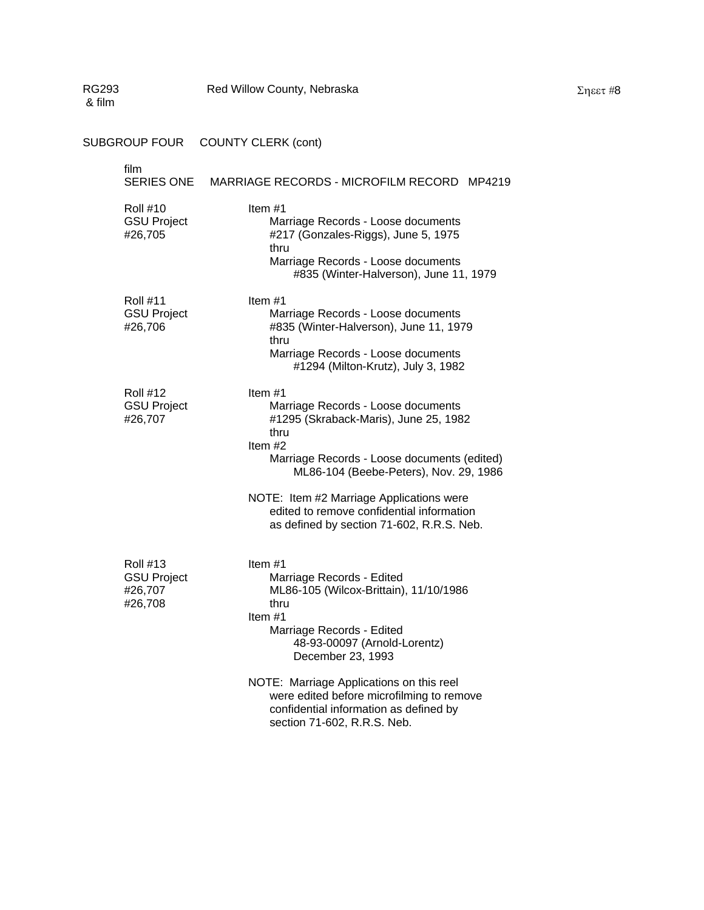| RG293<br>& film |                                                             | Red Willow County, Nebraska                                                                                                                                                                       |
|-----------------|-------------------------------------------------------------|---------------------------------------------------------------------------------------------------------------------------------------------------------------------------------------------------|
|                 | <b>SUBGROUP FOUR</b>                                        | <b>COUNTY CLERK (cont)</b>                                                                                                                                                                        |
|                 | film<br><b>SERIES ONE</b>                                   | MARRIAGE RECORDS - MICROFILM RECORD MP4219                                                                                                                                                        |
|                 | <b>Roll #10</b><br><b>GSU Project</b><br>#26,705            | Item $#1$<br>Marriage Records - Loose documents<br>#217 (Gonzales-Riggs), June 5, 1975<br>thru<br>Marriage Records - Loose documents<br>#835 (Winter-Halverson), June 11, 1979                    |
|                 | <b>Roll #11</b><br><b>GSU Project</b><br>#26,706            | Item $#1$<br>Marriage Records - Loose documents<br>#835 (Winter-Halverson), June 11, 1979<br>thru<br>Marriage Records - Loose documents<br>#1294 (Milton-Krutz), July 3, 1982                     |
|                 | <b>Roll #12</b><br><b>GSU Project</b><br>#26,707            | Item#1<br>Marriage Records - Loose documents<br>#1295 (Skraback-Maris), June 25, 1982<br>thru<br>Item #2<br>Marriage Records - Loose documents (edited)<br>ML86-104 (Beebe-Peters), Nov. 29, 1986 |
|                 |                                                             | NOTE: Item #2 Marriage Applications were<br>edited to remove confidential information<br>as defined by section 71-602, R.R.S. Neb.                                                                |
|                 | <b>Roll #13</b><br><b>GSU Project</b><br>#26,707<br>#26,708 | Item #1<br>Marriage Records - Edited<br>ML86-105 (Wilcox-Brittain), 11/10/1986<br>thru<br>Item #1<br>Marriage Records - Edited<br>48-93-00097 (Arnold-Lorentz)<br>December 23, 1993               |
|                 |                                                             | NOTE: Marriage Applications on this reel<br>were edited before microfilming to remove<br>confidential information as defined by<br>section 71-602, R.R.S. Neb.                                    |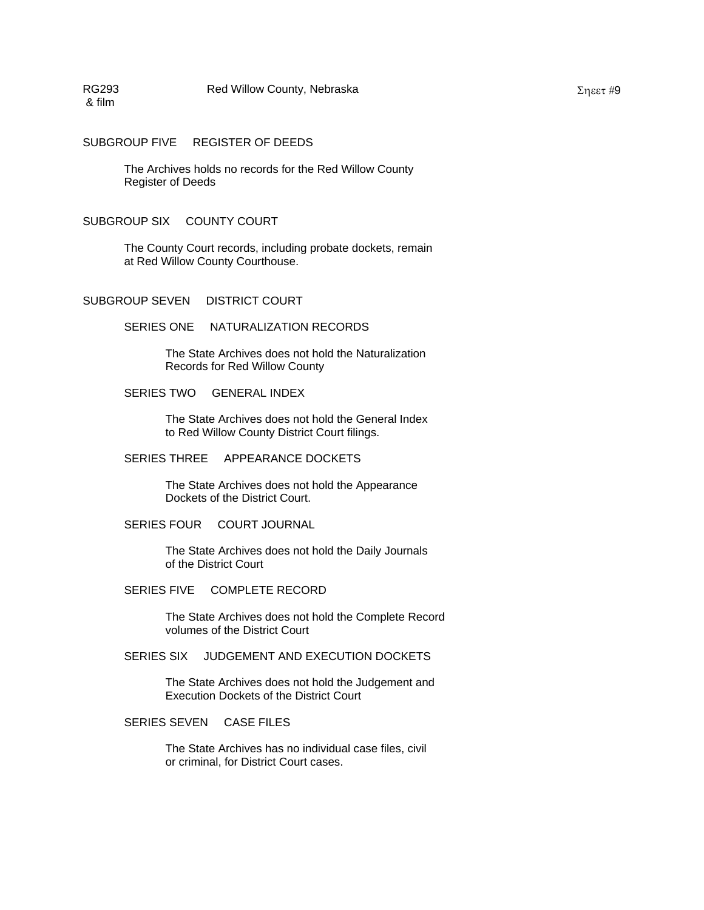SUBGROUP FIVE REGISTER OF DEEDS

The Archives holds no records for the Red Willow County Register of Deeds

#### SUBGROUP SIX COUNTY COURT

The County Court records, including probate dockets, remain at Red Willow County Courthouse.

SUBGROUP SEVEN DISTRICT COURT

SERIES ONE NATURALIZATION RECORDS

The State Archives does not hold the Naturalization Records for Red Willow County

#### SERIES TWO GENERAL INDEX

The State Archives does not hold the General Index to Red Willow County District Court filings.

#### SERIES THREE APPEARANCE DOCKETS

The State Archives does not hold the Appearance Dockets of the District Court.

SERIES FOUR COURT JOURNAL

The State Archives does not hold the Daily Journals of the District Court

SERIES FIVE COMPLETE RECORD

The State Archives does not hold the Complete Record volumes of the District Court

SERIES SIX JUDGEMENT AND EXECUTION DOCKETS

The State Archives does not hold the Judgement and Execution Dockets of the District Court

SERIES SEVEN CASE FILES

The State Archives has no individual case files, civil or criminal, for District Court cases.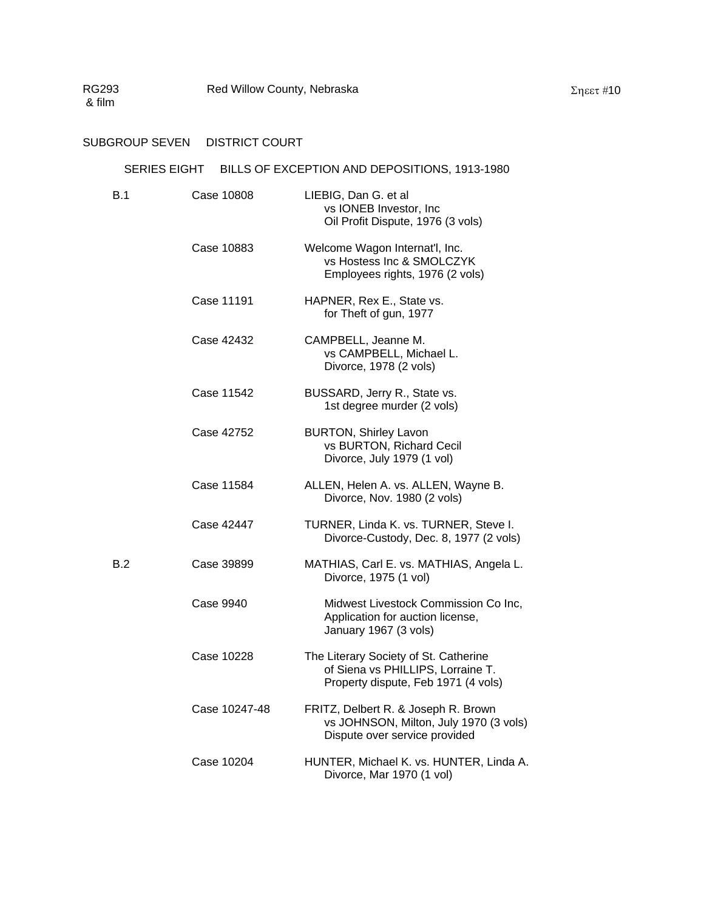# SUBGROUP SEVEN DISTRICT COURT

### SERIES EIGHT BILLS OF EXCEPTION AND DEPOSITIONS, 1913-1980

| B.1 | Case 10808    | LIEBIG, Dan G. et al<br>vs IONEB Investor, Inc<br>Oil Profit Dispute, 1976 (3 vols)                               |
|-----|---------------|-------------------------------------------------------------------------------------------------------------------|
|     | Case 10883    | Welcome Wagon Internat'l, Inc.<br>vs Hostess Inc & SMOLCZYK<br>Employees rights, 1976 (2 vols)                    |
|     | Case 11191    | HAPNER, Rex E., State vs.<br>for Theft of gun, 1977                                                               |
|     | Case 42432    | CAMPBELL, Jeanne M.<br>vs CAMPBELL, Michael L.<br>Divorce, 1978 (2 vols)                                          |
|     | Case 11542    | BUSSARD, Jerry R., State vs.<br>1st degree murder (2 vols)                                                        |
|     | Case 42752    | <b>BURTON, Shirley Lavon</b><br>vs BURTON, Richard Cecil<br>Divorce, July 1979 (1 vol)                            |
|     | Case 11584    | ALLEN, Helen A. vs. ALLEN, Wayne B.<br>Divorce, Nov. 1980 (2 vols)                                                |
|     | Case 42447    | TURNER, Linda K. vs. TURNER, Steve I.<br>Divorce-Custody, Dec. 8, 1977 (2 vols)                                   |
| B.2 | Case 39899    | MATHIAS, Carl E. vs. MATHIAS, Angela L.<br>Divorce, 1975 (1 vol)                                                  |
|     | Case 9940     | Midwest Livestock Commission Co Inc,<br>Application for auction license,<br>January 1967 (3 vols)                 |
|     | Case 10228    | The Literary Society of St. Catherine<br>of Siena vs PHILLIPS, Lorraine T.<br>Property dispute, Feb 1971 (4 vols) |
|     | Case 10247-48 | FRITZ, Delbert R. & Joseph R. Brown<br>vs JOHNSON, Milton, July 1970 (3 vols)<br>Dispute over service provided    |
|     | Case 10204    | HUNTER, Michael K. vs. HUNTER, Linda A.<br>Divorce, Mar 1970 (1 vol)                                              |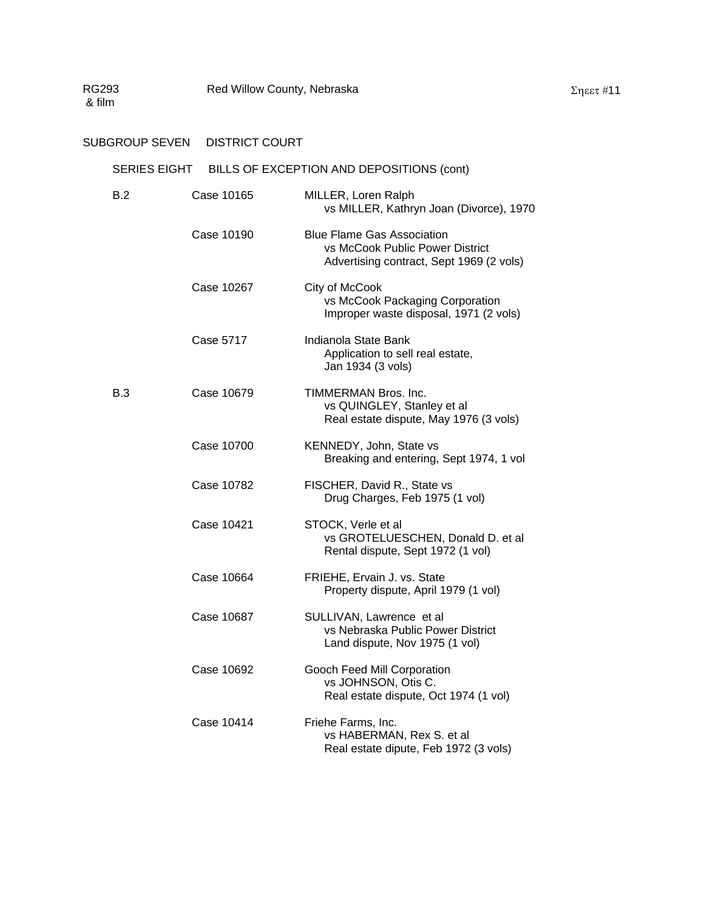# SUBGROUP SEVEN DISTRICT COURT

# SERIES EIGHT BILLS OF EXCEPTION AND DEPOSITIONS (cont)

| B.2 | Case 10165 | MILLER, Loren Ralph<br>vs MILLER, Kathryn Joan (Divorce), 1970                                                   |
|-----|------------|------------------------------------------------------------------------------------------------------------------|
|     | Case 10190 | <b>Blue Flame Gas Association</b><br>vs McCook Public Power District<br>Advertising contract, Sept 1969 (2 vols) |
|     | Case 10267 | City of McCook<br>vs McCook Packaging Corporation<br>Improper waste disposal, 1971 (2 vols)                      |
|     | Case 5717  | Indianola State Bank<br>Application to sell real estate,<br>Jan 1934 (3 vols)                                    |
| B.3 | Case 10679 | TIMMERMAN Bros. Inc.<br>vs QUINGLEY, Stanley et al<br>Real estate dispute, May 1976 (3 vols)                     |
|     | Case 10700 | KENNEDY, John, State vs<br>Breaking and entering, Sept 1974, 1 vol                                               |
|     | Case 10782 | FISCHER, David R., State vs<br>Drug Charges, Feb 1975 (1 vol)                                                    |
|     | Case 10421 | STOCK, Verle et al<br>vs GROTELUESCHEN, Donald D. et al<br>Rental dispute, Sept 1972 (1 vol)                     |
|     | Case 10664 | FRIEHE, Ervain J. vs. State<br>Property dispute, April 1979 (1 vol)                                              |
|     | Case 10687 | SULLIVAN, Lawrence et al<br>vs Nebraska Public Power District<br>Land dispute, Nov 1975 (1 vol)                  |
|     | Case 10692 | Gooch Feed Mill Corporation<br>vs JOHNSON, Otis C.<br>Real estate dispute, Oct 1974 (1 vol)                      |
|     | Case 10414 | Friehe Farms, Inc.<br>vs HABERMAN, Rex S. et al<br>Real estate dipute, Feb 1972 (3 vols)                         |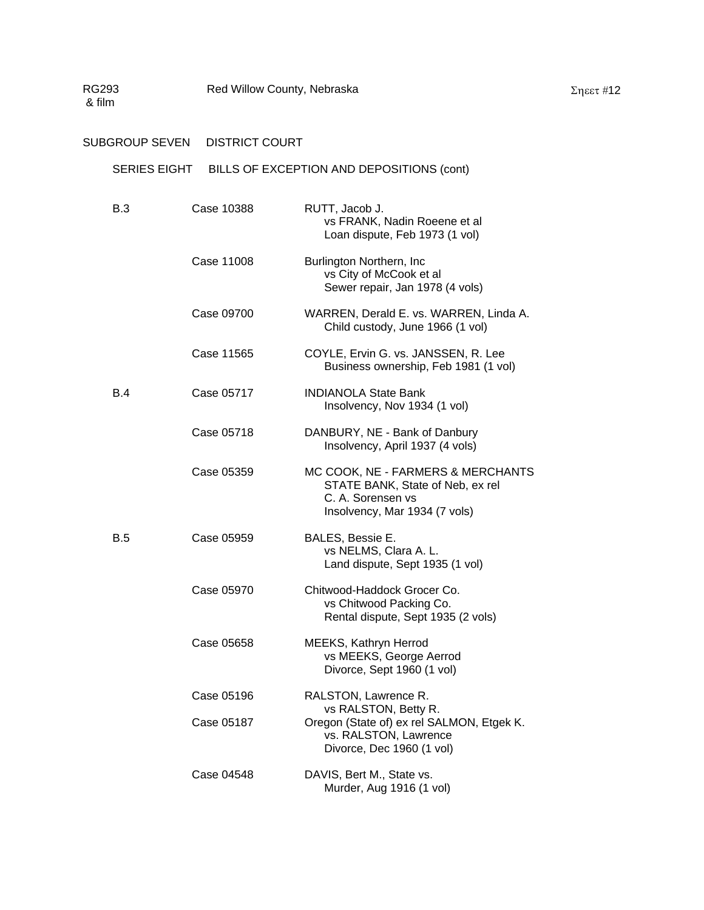# SERIES EIGHT BILLS OF EXCEPTION AND DEPOSITIONS (cont)

| B.3 | Case 10388 | RUTT, Jacob J.<br>vs FRANK, Nadin Roeene et al<br>Loan dispute, Feb 1973 (1 vol)                                            |
|-----|------------|-----------------------------------------------------------------------------------------------------------------------------|
|     | Case 11008 | Burlington Northern, Inc<br>vs City of McCook et al<br>Sewer repair, Jan 1978 (4 vols)                                      |
|     | Case 09700 | WARREN, Derald E. vs. WARREN, Linda A.<br>Child custody, June 1966 (1 vol)                                                  |
|     | Case 11565 | COYLE, Ervin G. vs. JANSSEN, R. Lee<br>Business ownership, Feb 1981 (1 vol)                                                 |
| B.4 | Case 05717 | <b>INDIANOLA State Bank</b><br>Insolvency, Nov 1934 (1 vol)                                                                 |
|     | Case 05718 | DANBURY, NE - Bank of Danbury<br>Insolvency, April 1937 (4 vols)                                                            |
|     | Case 05359 | MC COOK, NE - FARMERS & MERCHANTS<br>STATE BANK, State of Neb, ex rel<br>C. A. Sorensen vs<br>Insolvency, Mar 1934 (7 vols) |
| B.5 | Case 05959 | BALES, Bessie E.<br>vs NELMS, Clara A. L.<br>Land dispute, Sept 1935 (1 vol)                                                |
|     | Case 05970 | Chitwood-Haddock Grocer Co.<br>vs Chitwood Packing Co.<br>Rental dispute, Sept 1935 (2 vols)                                |
|     | Case 05658 | MEEKS, Kathryn Herrod<br>vs MEEKS, George Aerrod<br>Divorce, Sept 1960 (1 vol)                                              |
|     | Case 05196 | RALSTON, Lawrence R.                                                                                                        |
|     | Case 05187 | vs RALSTON, Betty R.<br>Oregon (State of) ex rel SALMON, Etgek K.<br>vs. RALSTON, Lawrence<br>Divorce, Dec 1960 (1 vol)     |
|     | Case 04548 | DAVIS, Bert M., State vs.<br>Murder, Aug 1916 (1 vol)                                                                       |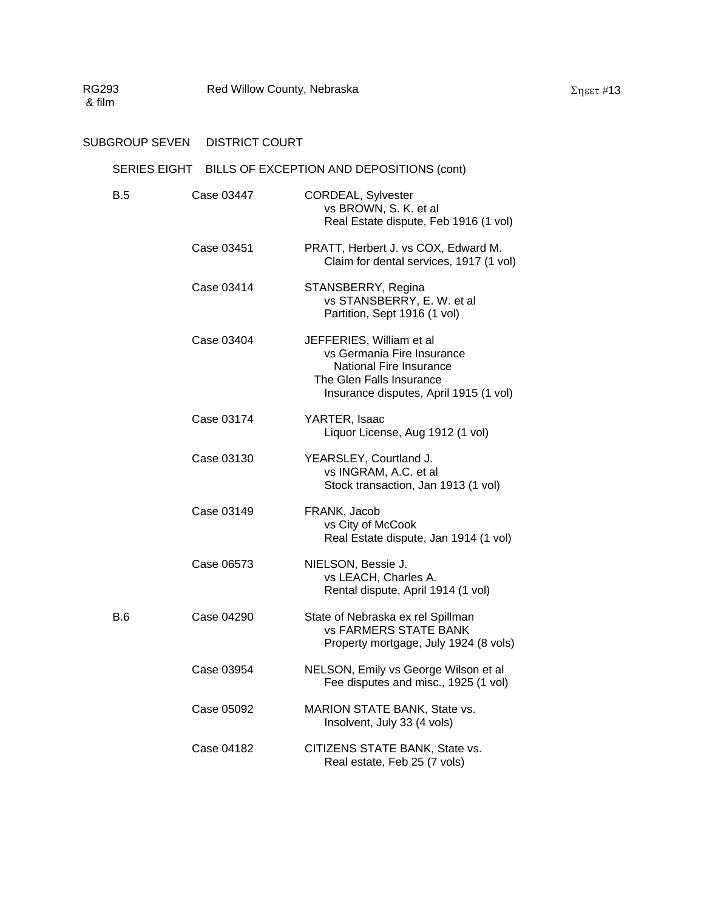# SUBGROUP SEVEN DISTRICT COURT

# SERIES EIGHT BILLS OF EXCEPTION AND DEPOSITIONS (cont)

| B.5        | Case 03447 | CORDEAL, Sylvester<br>vs BROWN, S. K. et al<br>Real Estate dispute, Feb 1916 (1 vol)                                                                    |
|------------|------------|---------------------------------------------------------------------------------------------------------------------------------------------------------|
|            | Case 03451 | PRATT, Herbert J. vs COX, Edward M.<br>Claim for dental services, 1917 (1 vol)                                                                          |
|            | Case 03414 | STANSBERRY, Regina<br>vs STANSBERRY, E. W. et al<br>Partition, Sept 1916 (1 vol)                                                                        |
|            | Case 03404 | JEFFERIES, William et al<br>vs Germania Fire Insurance<br>National Fire Insurance<br>The Glen Falls Insurance<br>Insurance disputes, April 1915 (1 vol) |
|            | Case 03174 | YARTER, Isaac<br>Liquor License, Aug 1912 (1 vol)                                                                                                       |
|            | Case 03130 | YEARSLEY, Courtland J.<br>vs INGRAM, A.C. et al<br>Stock transaction, Jan 1913 (1 vol)                                                                  |
|            | Case 03149 | FRANK, Jacob<br>vs City of McCook<br>Real Estate dispute, Jan 1914 (1 vol)                                                                              |
|            | Case 06573 | NIELSON, Bessie J.<br>vs LEACH, Charles A.<br>Rental dispute, April 1914 (1 vol)                                                                        |
| <b>B.6</b> | Case 04290 | State of Nebraska ex rel Spillman<br><b>vs FARMERS STATE BANK</b><br>Property mortgage, July 1924 (8 vols)                                              |
|            | Case 03954 | NELSON, Emily vs George Wilson et al<br>Fee disputes and misc., 1925 (1 vol)                                                                            |
|            | Case 05092 | MARION STATE BANK, State vs.<br>Insolvent, July 33 (4 vols)                                                                                             |
|            | Case 04182 | CITIZENS STATE BANK, State vs.<br>Real estate, Feb 25 (7 vols)                                                                                          |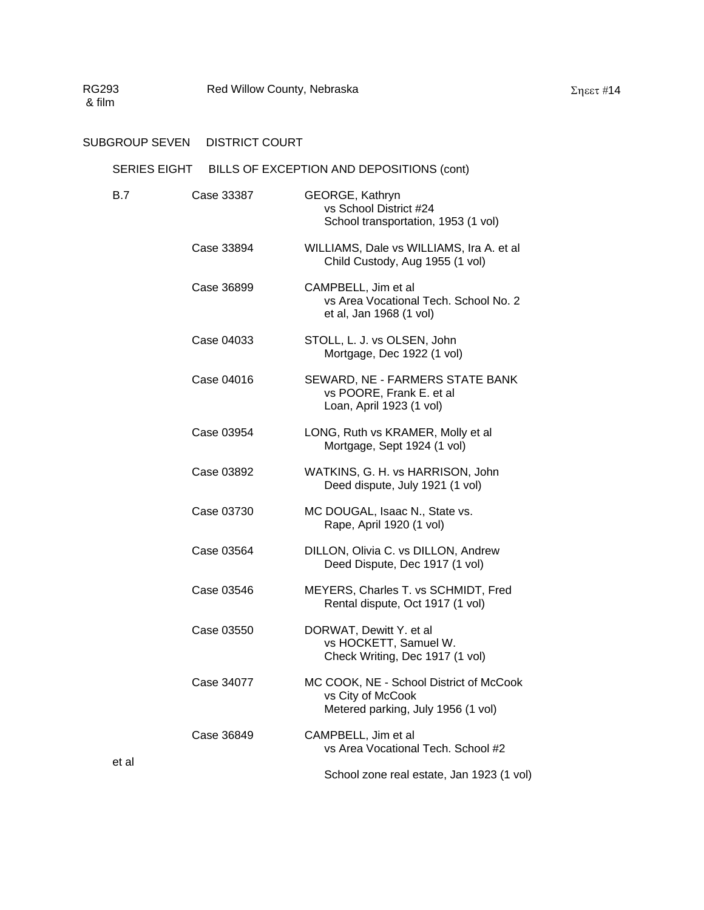### SUBGROUP SEVEN DISTRICT COURT

# SERIES EIGHT BILLS OF EXCEPTION AND DEPOSITIONS (cont)

| <b>B.7</b> | Case 33387 | GEORGE, Kathryn<br>vs School District #24<br>School transportation, 1953 (1 vol)                   |
|------------|------------|----------------------------------------------------------------------------------------------------|
|            | Case 33894 | WILLIAMS, Dale vs WILLIAMS, Ira A. et al<br>Child Custody, Aug 1955 (1 vol)                        |
|            | Case 36899 | CAMPBELL, Jim et al<br>vs Area Vocational Tech. School No. 2<br>et al, Jan 1968 (1 vol)            |
|            | Case 04033 | STOLL, L. J. vs OLSEN, John<br>Mortgage, Dec 1922 (1 vol)                                          |
|            | Case 04016 | SEWARD, NE - FARMERS STATE BANK<br>vs POORE, Frank E. et al<br>Loan, April 1923 (1 vol)            |
|            | Case 03954 | LONG, Ruth vs KRAMER, Molly et al<br>Mortgage, Sept 1924 (1 vol)                                   |
|            | Case 03892 | WATKINS, G. H. vs HARRISON, John<br>Deed dispute, July 1921 (1 vol)                                |
|            | Case 03730 | MC DOUGAL, Isaac N., State vs.<br>Rape, April 1920 (1 vol)                                         |
|            | Case 03564 | DILLON, Olivia C. vs DILLON, Andrew<br>Deed Dispute, Dec 1917 (1 vol)                              |
|            | Case 03546 | MEYERS, Charles T. vs SCHMIDT, Fred<br>Rental dispute, Oct 1917 (1 vol)                            |
|            | Case 03550 | DORWAT, Dewitt Y. et al<br>vs HOCKETT, Samuel W.<br>Check Writing, Dec 1917 (1 vol)                |
|            | Case 34077 | MC COOK, NE - School District of McCook<br>vs City of McCook<br>Metered parking, July 1956 (1 vol) |
|            | Case 36849 | CAMPBELL, Jim et al<br>vs Area Vocational Tech. School #2                                          |
| et al      |            | School zone real estate, Jan 1923 (1 vol)                                                          |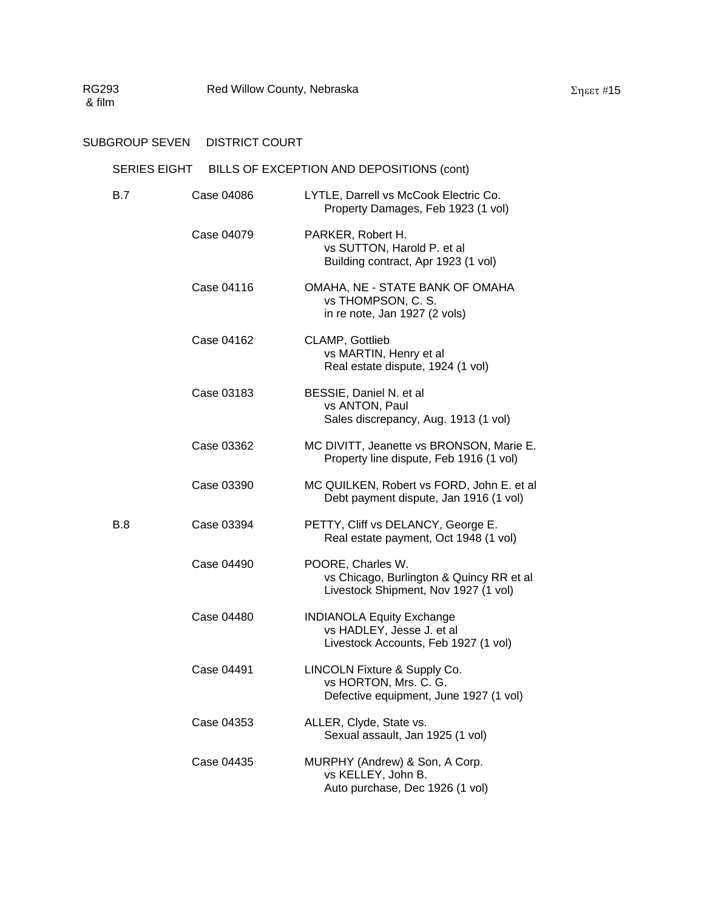# SUBGROUP SEVEN DISTRICT COURT

# SERIES EIGHT BILLS OF EXCEPTION AND DEPOSITIONS (cont)

| B.7 | Case 04086 | LYTLE, Darrell vs McCook Electric Co.<br>Property Damages, Feb 1923 (1 vol)                           |
|-----|------------|-------------------------------------------------------------------------------------------------------|
|     | Case 04079 | PARKER, Robert H.<br>vs SUTTON, Harold P. et al<br>Building contract, Apr 1923 (1 vol)                |
|     | Case 04116 | OMAHA, NE - STATE BANK OF OMAHA<br>vs THOMPSON, C. S.<br>in re note, Jan 1927 (2 vols)                |
|     | Case 04162 | <b>CLAMP, Gottlieb</b><br>vs MARTIN, Henry et al<br>Real estate dispute, 1924 (1 vol)                 |
|     | Case 03183 | BESSIE, Daniel N. et al<br>vs ANTON, Paul<br>Sales discrepancy, Aug. 1913 (1 vol)                     |
|     | Case 03362 | MC DIVITT, Jeanette vs BRONSON, Marie E.<br>Property line dispute, Feb 1916 (1 vol)                   |
|     | Case 03390 | MC QUILKEN, Robert vs FORD, John E. et al<br>Debt payment dispute, Jan 1916 (1 vol)                   |
| B.8 | Case 03394 | PETTY, Cliff vs DELANCY, George E.<br>Real estate payment, Oct 1948 (1 vol)                           |
|     | Case 04490 | POORE, Charles W.<br>vs Chicago, Burlington & Quincy RR et al<br>Livestock Shipment, Nov 1927 (1 vol) |
|     | Case 04480 | <b>INDIANOLA Equity Exchange</b><br>vs HADLEY, Jesse J. et al<br>Livestock Accounts, Feb 1927 (1 vol) |
|     | Case 04491 | LINCOLN Fixture & Supply Co.<br>vs HORTON, Mrs. C. G.<br>Defective equipment, June 1927 (1 vol)       |
|     | Case 04353 | ALLER, Clyde, State vs.<br>Sexual assault, Jan 1925 (1 vol)                                           |
|     | Case 04435 | MURPHY (Andrew) & Son, A Corp.<br>vs KELLEY, John B.<br>Auto purchase, Dec 1926 (1 vol)               |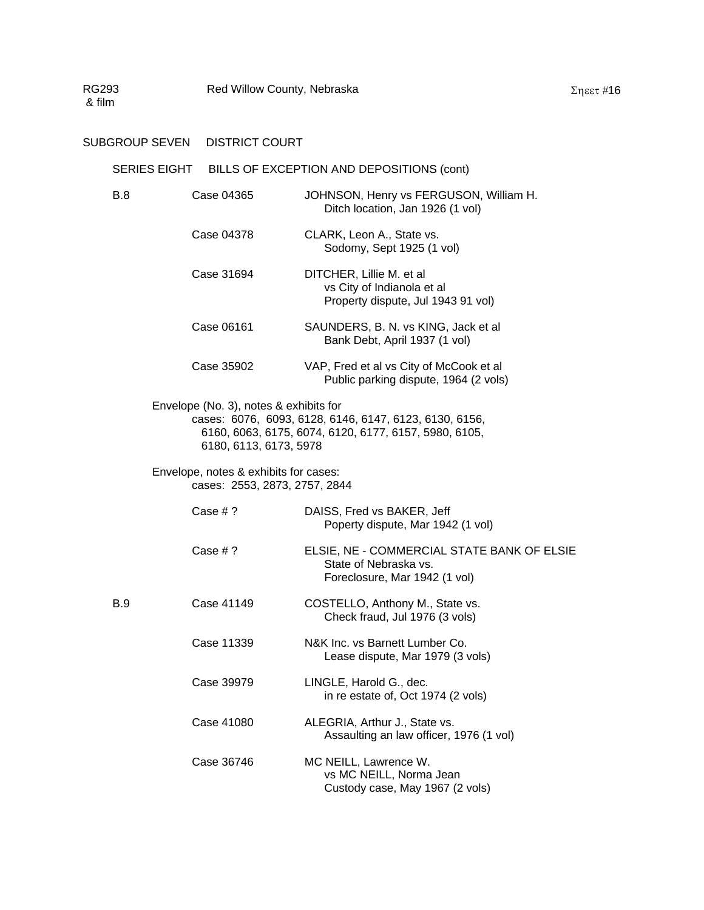# SERIES EIGHT BILLS OF EXCEPTION AND DEPOSITIONS (cont)

| B.8 | Case 04365                                                             | JOHNSON, Henry vs FERGUSON, William H.<br>Ditch location, Jan 1926 (1 vol)                                      |
|-----|------------------------------------------------------------------------|-----------------------------------------------------------------------------------------------------------------|
|     | Case 04378                                                             | CLARK, Leon A., State vs.<br>Sodomy, Sept 1925 (1 vol)                                                          |
|     | Case 31694                                                             | DITCHER, Lillie M. et al<br>vs City of Indianola et al<br>Property dispute, Jul 1943 91 vol)                    |
|     | Case 06161                                                             | SAUNDERS, B. N. vs KING, Jack et al.<br>Bank Debt, April 1937 (1 vol)                                           |
|     | Case 35902                                                             | VAP, Fred et al vs City of McCook et al<br>Public parking dispute, 1964 (2 vols)                                |
|     | Envelope (No. 3), notes & exhibits for<br>6180, 6113, 6173, 5978       | cases: 6076, 6093, 6128, 6146, 6147, 6123, 6130, 6156,<br>6160, 6063, 6175, 6074, 6120, 6177, 6157, 5980, 6105, |
|     | Envelope, notes & exhibits for cases:<br>cases: 2553, 2873, 2757, 2844 |                                                                                                                 |
|     | Case $# ?$                                                             | DAISS, Fred vs BAKER, Jeff<br>Poperty dispute, Mar 1942 (1 vol)                                                 |
|     | Case $# ?$                                                             | ELSIE, NE - COMMERCIAL STATE BANK OF ELSIE<br>State of Nebraska vs.<br>Foreclosure, Mar 1942 (1 vol)            |
| B.9 | Case 41149                                                             | COSTELLO, Anthony M., State vs.<br>Check fraud, Jul 1976 (3 vols)                                               |
|     | Case 11339                                                             | N&K Inc. vs Barnett Lumber Co.<br>Lease dispute, Mar 1979 (3 vols)                                              |
|     | Case 39979                                                             | LINGLE, Harold G., dec.<br>in re estate of, Oct 1974 (2 vols)                                                   |
|     | Case 41080                                                             | ALEGRIA, Arthur J., State vs.<br>Assaulting an law officer, 1976 (1 vol)                                        |
|     | Case 36746                                                             | MC NEILL, Lawrence W.<br>vs MC NEILL, Norma Jean<br>Custody case, May 1967 (2 vols)                             |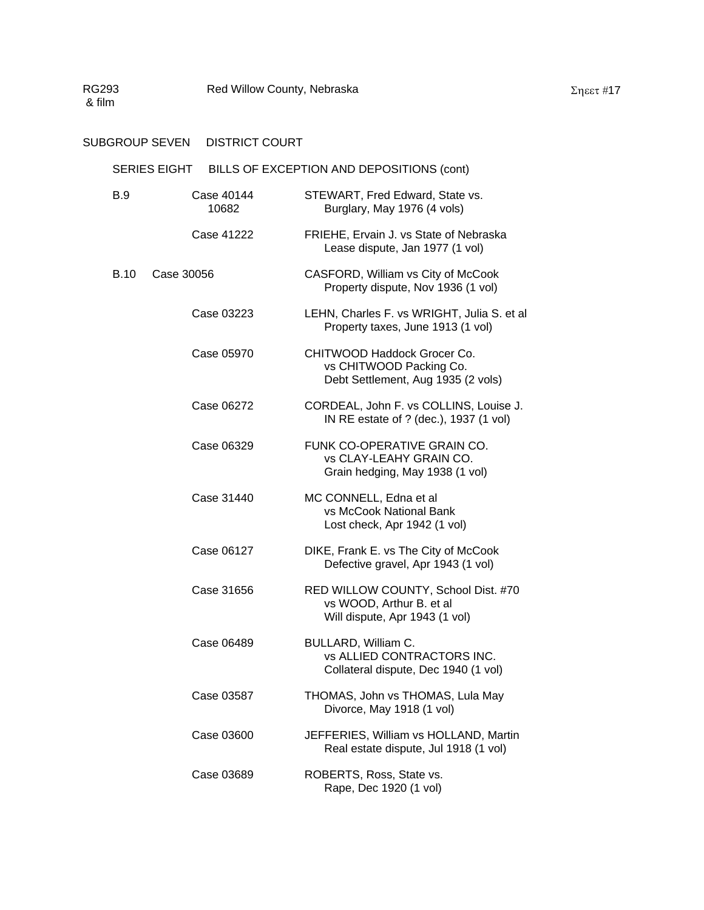| <b>SERIES EIGHT</b> | BILLS OF EXCEPTION AND DEPOSITIONS (cont) |
|---------------------|-------------------------------------------|
|                     |                                           |

| B.9         | Case 40144<br>10682 | STEWART, Fred Edward, State vs.<br>Burglary, May 1976 (4 vols)                                    |
|-------------|---------------------|---------------------------------------------------------------------------------------------------|
|             | Case 41222          | FRIEHE, Ervain J. vs State of Nebraska<br>Lease dispute, Jan 1977 (1 vol)                         |
| <b>B.10</b> | Case 30056          | CASFORD, William vs City of McCook<br>Property dispute, Nov 1936 (1 vol)                          |
|             | Case 03223          | LEHN, Charles F. vs WRIGHT, Julia S. et al<br>Property taxes, June 1913 (1 vol)                   |
|             | Case 05970          | CHITWOOD Haddock Grocer Co.<br>vs CHITWOOD Packing Co.<br>Debt Settlement, Aug 1935 (2 vols)      |
|             | Case 06272          | CORDEAL, John F. vs COLLINS, Louise J.<br>IN RE estate of ? (dec.), 1937 (1 vol)                  |
|             | Case 06329          | FUNK CO-OPERATIVE GRAIN CO.<br>vs CLAY-LEAHY GRAIN CO.<br>Grain hedging, May 1938 (1 vol)         |
|             | Case 31440          | MC CONNELL, Edna et al<br>vs McCook National Bank<br>Lost check, Apr 1942 (1 vol)                 |
|             | Case 06127          | DIKE, Frank E. vs The City of McCook<br>Defective gravel, Apr 1943 (1 vol)                        |
|             | Case 31656          | RED WILLOW COUNTY, School Dist. #70<br>vs WOOD, Arthur B. et al<br>Will dispute, Apr 1943 (1 vol) |
|             | Case 06489          | BULLARD, William C.<br><b>vs ALLIED CONTRACTORS INC.</b><br>Collateral dispute, Dec 1940 (1 vol)  |
|             | Case 03587          | THOMAS, John vs THOMAS, Lula May<br>Divorce, May 1918 (1 vol)                                     |
|             | Case 03600          | JEFFERIES, William vs HOLLAND, Martin<br>Real estate dispute, Jul 1918 (1 vol)                    |
|             | Case 03689          | ROBERTS, Ross, State vs.<br>Rape, Dec 1920 (1 vol)                                                |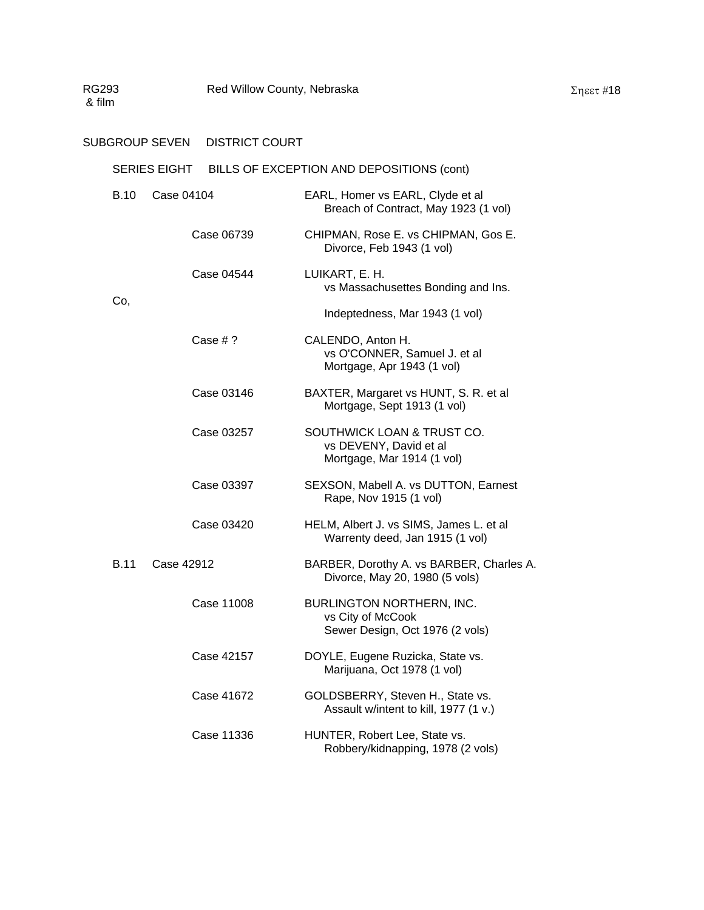### SUBGROUP SEVEN DISTRICT COURT

|             | <b>SERIES EIGHT</b> | BILLS OF EXCEPTION AND DEPOSITIONS (cont)                                          |
|-------------|---------------------|------------------------------------------------------------------------------------|
| <b>B.10</b> | Case 04104          | EARL, Homer vs EARL, Clyde et al<br>Breach of Contract, May 1923 (1 vol)           |
|             | Case 06739          | CHIPMAN, Rose E. vs CHIPMAN, Gos E.<br>Divorce, Feb 1943 (1 vol)                   |
|             | Case 04544          | LUIKART, E. H.<br>vs Massachusettes Bonding and Ins.                               |
| Co,         |                     | Indeptedness, Mar 1943 (1 vol)                                                     |
|             | Case $# ?$          | CALENDO, Anton H.<br>vs O'CONNER, Samuel J. et al<br>Mortgage, Apr 1943 (1 vol)    |
|             | Case 03146          | BAXTER, Margaret vs HUNT, S. R. et al<br>Mortgage, Sept 1913 (1 vol)               |
|             | Case 03257          | SOUTHWICK LOAN & TRUST CO.<br>vs DEVENY, David et al<br>Mortgage, Mar 1914 (1 vol) |
|             | Case 03397          | SEXSON, Mabell A. vs DUTTON, Earnest<br>Rape, Nov 1915 (1 vol)                     |
|             | Case 03420          | HELM, Albert J. vs SIMS, James L. et al<br>Warrenty deed, Jan 1915 (1 vol)         |
| <b>B.11</b> | Case 42912          | BARBER, Dorothy A. vs BARBER, Charles A.<br>Divorce, May 20, 1980 (5 vols)         |
|             | Case 11008          | BURLINGTON NORTHERN, INC.<br>vs City of McCook<br>Sewer Design, Oct 1976 (2 vols)  |
|             | Case 42157          | DOYLE, Eugene Ruzicka, State vs.<br>Marijuana, Oct 1978 (1 vol)                    |
|             | Case 41672          | GOLDSBERRY, Steven H., State vs.<br>Assault w/intent to kill, 1977 (1 v.)          |
|             | Case 11336          | HUNTER, Robert Lee, State vs.<br>Robbery/kidnapping, 1978 (2 vols)                 |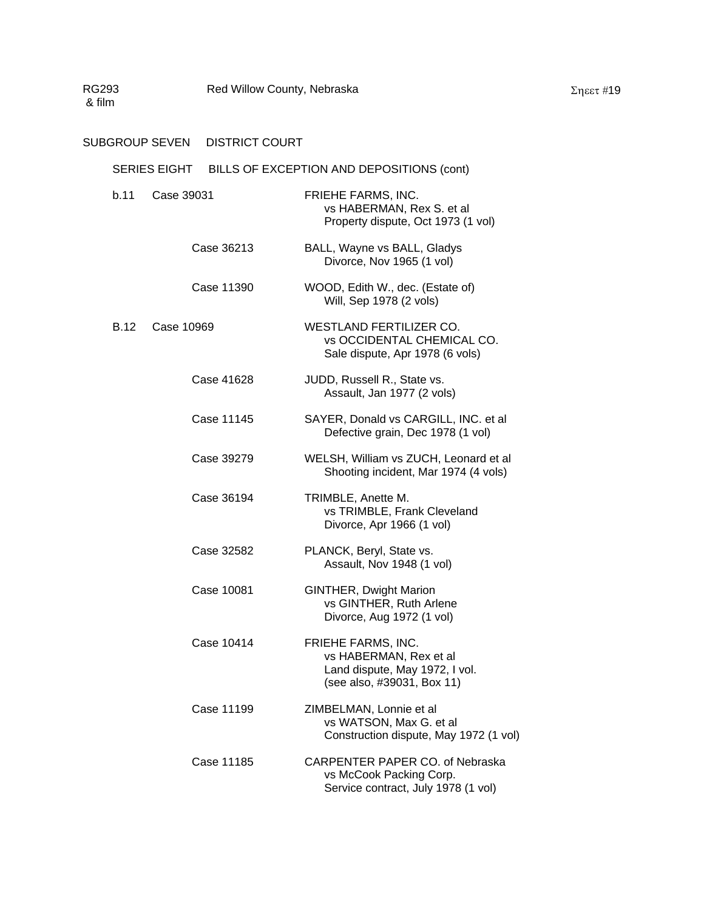| SERIES EIGHT BILLS OF EXCEPTION AND DEPOSITIONS (cont) |            |                                                                                                              |  |  |
|--------------------------------------------------------|------------|--------------------------------------------------------------------------------------------------------------|--|--|
| b.11                                                   | Case 39031 | FRIEHE FARMS, INC.<br>vs HABERMAN, Rex S. et al<br>Property dispute, Oct 1973 (1 vol)                        |  |  |
|                                                        | Case 36213 | BALL, Wayne vs BALL, Gladys<br>Divorce, Nov 1965 (1 vol)                                                     |  |  |
|                                                        | Case 11390 | WOOD, Edith W., dec. (Estate of)<br>Will, Sep 1978 (2 vols)                                                  |  |  |
| <b>B.12</b>                                            | Case 10969 | WESTLAND FERTILIZER CO.<br><b>vs OCCIDENTAL CHEMICAL CO.</b><br>Sale dispute, Apr 1978 (6 vols)              |  |  |
|                                                        | Case 41628 | JUDD, Russell R., State vs.<br>Assault, Jan 1977 (2 vols)                                                    |  |  |
|                                                        | Case 11145 | SAYER, Donald vs CARGILL, INC. et al<br>Defective grain, Dec 1978 (1 vol)                                    |  |  |
|                                                        | Case 39279 | WELSH, William vs ZUCH, Leonard et al<br>Shooting incident, Mar 1974 (4 vols)                                |  |  |
|                                                        | Case 36194 | TRIMBLE, Anette M.<br>vs TRIMBLE, Frank Cleveland<br>Divorce, Apr 1966 (1 vol)                               |  |  |
|                                                        | Case 32582 | PLANCK, Beryl, State vs.<br>Assault, Nov 1948 (1 vol)                                                        |  |  |
|                                                        | Case 10081 | <b>GINTHER, Dwight Marion</b><br>vs GINTHER, Ruth Arlene<br>Divorce, Aug 1972 (1 vol)                        |  |  |
|                                                        | Case 10414 | FRIEHE FARMS, INC.<br>vs HABERMAN, Rex et al<br>Land dispute, May 1972, I vol.<br>(see also, #39031, Box 11) |  |  |
|                                                        | Case 11199 | ZIMBELMAN, Lonnie et al<br>vs WATSON, Max G. et al<br>Construction dispute, May 1972 (1 vol)                 |  |  |
|                                                        | Case 11185 | CARPENTER PAPER CO. of Nebraska<br>vs McCook Packing Corp.<br>Service contract, July 1978 (1 vol)            |  |  |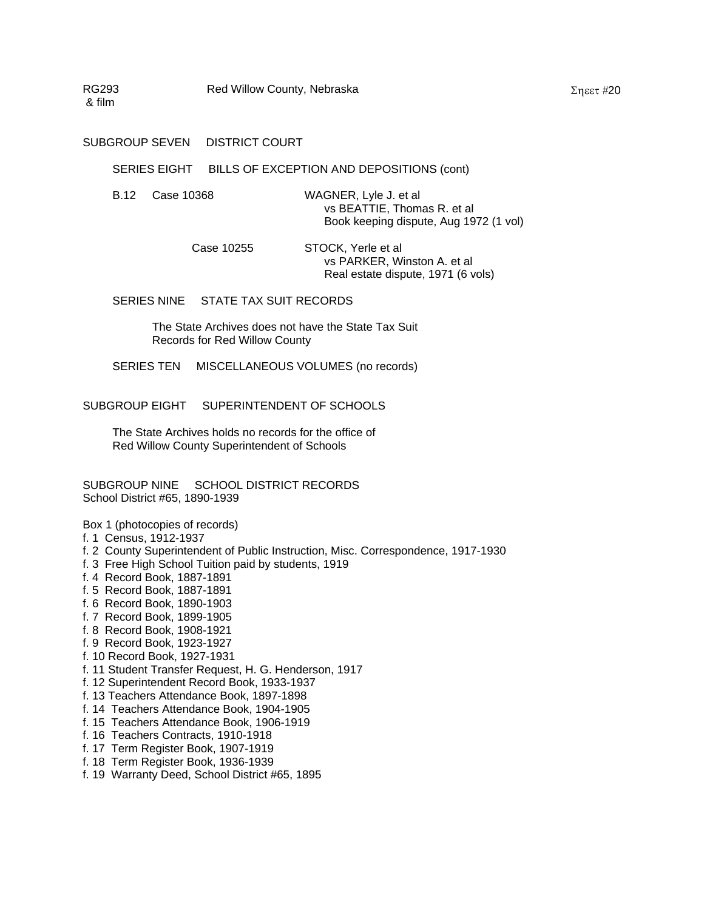#### SERIES EIGHT BILLS OF EXCEPTION AND DEPOSITIONS (cont)

- B.12 Case 10368 WAGNER, Lyle J. et al vs BEATTIE, Thomas R. et al Book keeping dispute, Aug 1972 (1 vol)
	- Case 10255 STOCK, Yerle et al vs PARKER, Winston A. et al Real estate dispute, 1971 (6 vols)

SERIES NINE STATE TAX SUIT RECORDS

The State Archives does not have the State Tax Suit Records for Red Willow County

SERIES TEN MISCELLANEOUS VOLUMES (no records)

SUBGROUP EIGHT SUPERINTENDENT OF SCHOOLS

The State Archives holds no records for the office of Red Willow County Superintendent of Schools

SUBGROUP NINE SCHOOL DISTRICT RECORDS School District #65, 1890-1939

Box 1 (photocopies of records)

- f. 1 Census, 1912-1937
- f. 2 County Superintendent of Public Instruction, Misc. Correspondence, 1917-1930
- f. 3 Free High School Tuition paid by students, 1919
- f. 4 Record Book, 1887-1891
- f. 5 Record Book, 1887-1891
- f. 6 Record Book, 1890-1903
- f. 7 Record Book, 1899-1905
- f. 8 Record Book, 1908-1921
- f. 9 Record Book, 1923-1927
- f. 10 Record Book, 1927-1931
- f. 11 Student Transfer Request, H. G. Henderson, 1917
- f. 12 Superintendent Record Book, 1933-1937
- f. 13 Teachers Attendance Book, 1897-1898
- f. 14 Teachers Attendance Book, 1904-1905
- f. 15 Teachers Attendance Book, 1906-1919
- f. 16 Teachers Contracts, 1910-1918
- f. 17 Term Register Book, 1907-1919
- f. 18 Term Register Book, 1936-1939
- f. 19 Warranty Deed, School District #65, 1895